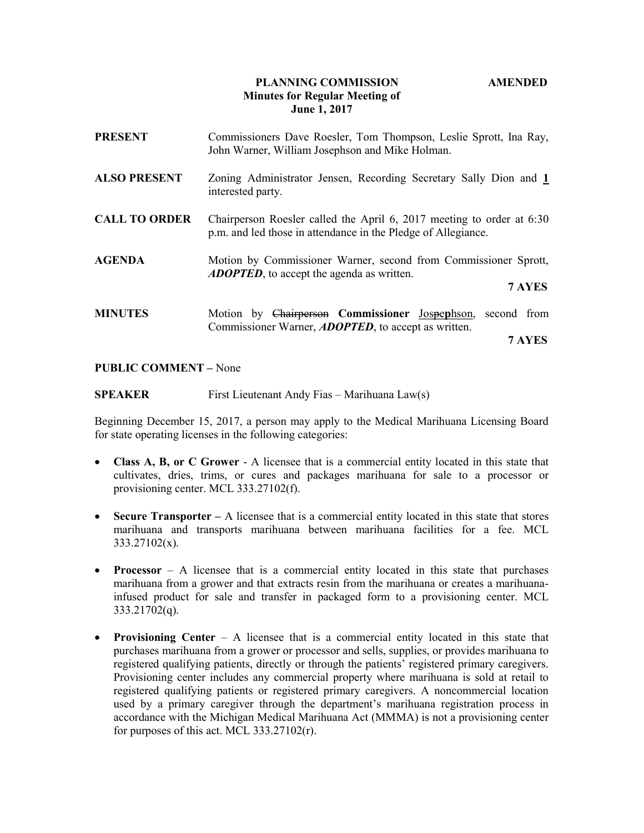## PLANNING COMMISSION AMENDED Minutes for Regular Meeting of June 1, 2017

| <b>PRESENT</b>       | Commissioners Dave Roesler, Tom Thompson, Leslie Sprott, Ina Ray,<br>John Warner, William Josephson and Mike Holman.                   |
|----------------------|----------------------------------------------------------------------------------------------------------------------------------------|
| <b>ALSO PRESENT</b>  | Zoning Administrator Jensen, Recording Secretary Sally Dion and 1<br>interested party.                                                 |
| <b>CALL TO ORDER</b> | Chairperson Roesler called the April 6, 2017 meeting to order at 6:30<br>p.m. and led those in attendance in the Pledge of Allegiance. |
| <b>AGENDA</b>        | Motion by Commissioner Warner, second from Commissioner Sprott,<br><b>ADOPTED</b> , to accept the agenda as written.                   |
|                      | 7 AYES                                                                                                                                 |
| <b>MINUTES</b>       | Motion by Chairperson Commissioner Jospephson,<br>second from<br>Commissioner Warner, ADOPTED, to accept as written.                   |
|                      | 7 AYES                                                                                                                                 |

## PUBLIC COMMENT – None

SPEAKER First Lieutenant Andy Fias – Marihuana Law(s)

Beginning December 15, 2017, a person may apply to the Medical Marihuana Licensing Board for state operating licenses in the following categories:

- Class A, B, or C Grower A licensee that is a commercial entity located in this state that cultivates, dries, trims, or cures and packages marihuana for sale to a processor or provisioning center. MCL 333.27102(f).
- Secure Transporter  $-$  A licensee that is a commercial entity located in this state that stores marihuana and transports marihuana between marihuana facilities for a fee. MCL 333.27102(x).
- **Processor** A licensee that is a commercial entity located in this state that purchases marihuana from a grower and that extracts resin from the marihuana or creates a marihuanainfused product for sale and transfer in packaged form to a provisioning center. MCL 333.21702(q).
- Provisioning Center  $-$  A licensee that is a commercial entity located in this state that purchases marihuana from a grower or processor and sells, supplies, or provides marihuana to registered qualifying patients, directly or through the patients' registered primary caregivers. Provisioning center includes any commercial property where marihuana is sold at retail to registered qualifying patients or registered primary caregivers. A noncommercial location used by a primary caregiver through the department's marihuana registration process in accordance with the Michigan Medical Marihuana Act (MMMA) is not a provisioning center for purposes of this act. MCL 333.27102(r).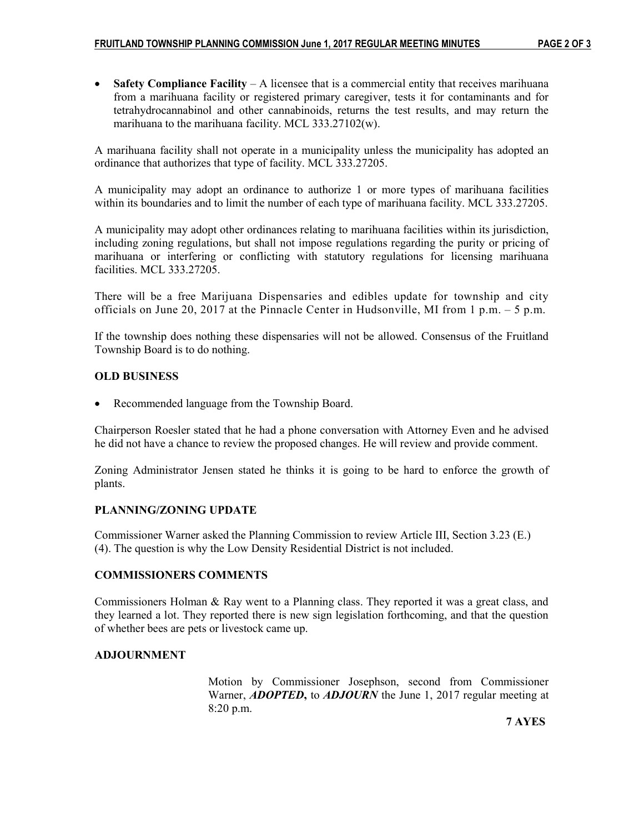• Safety Compliance Facility  $-A$  licensee that is a commercial entity that receives marihuana from a marihuana facility or registered primary caregiver, tests it for contaminants and for tetrahydrocannabinol and other cannabinoids, returns the test results, and may return the marihuana to the marihuana facility. MCL 333.27102(w).

A marihuana facility shall not operate in a municipality unless the municipality has adopted an ordinance that authorizes that type of facility. MCL 333.27205.

A municipality may adopt an ordinance to authorize 1 or more types of marihuana facilities within its boundaries and to limit the number of each type of marihuana facility. MCL 333.27205.

A municipality may adopt other ordinances relating to marihuana facilities within its jurisdiction, including zoning regulations, but shall not impose regulations regarding the purity or pricing of marihuana or interfering or conflicting with statutory regulations for licensing marihuana facilities. MCL 333.27205.

There will be a free Marijuana Dispensaries and edibles update for township and city officials on June 20, 2017 at the Pinnacle Center in Hudsonville, MI from  $1 \text{ p.m.} - 5 \text{ p.m.}$ 

If the township does nothing these dispensaries will not be allowed. Consensus of the Fruitland Township Board is to do nothing.

# OLD BUSINESS

Recommended language from the Township Board.

Chairperson Roesler stated that he had a phone conversation with Attorney Even and he advised he did not have a chance to review the proposed changes. He will review and provide comment.

Zoning Administrator Jensen stated he thinks it is going to be hard to enforce the growth of plants.

### PLANNING/ZONING UPDATE

Commissioner Warner asked the Planning Commission to review Article III, Section 3.23 (E.) (4). The question is why the Low Density Residential District is not included.

# COMMISSIONERS COMMENTS

Commissioners Holman & Ray went to a Planning class. They reported it was a great class, and they learned a lot. They reported there is new sign legislation forthcoming, and that the question of whether bees are pets or livestock came up.

## ADJOURNMENT

Motion by Commissioner Josephson, second from Commissioner Warner, **ADOPTED**, to **ADJOURN** the June 1, 2017 regular meeting at 8:20 p.m.

7 AYES